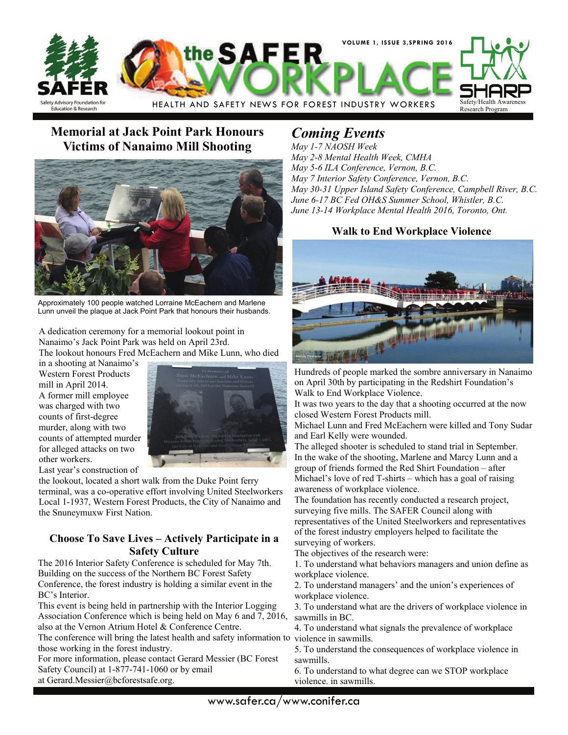

### **Memorial at Jack Point Park Honours Victims of Nanaimo Mill Shooting**



Approximately 100 people watched Lorraine McEachern and Marlene Lunn unveil the plaque at Jack Point Park that honours their husbands.

A dedication ceremony for a memorial lookout point in Nanaimo's Jack Point Park was held on April 23rd. The lookout honours Fred McEachern and Mike Lunn, who died

in a shooting at Nanaimo's Western Forest Products mill in April 2014. A former mill employee was charged with two counts of first-degree murder, along with two counts of attempted murder for alleged attacks on two other workers. Last year's construction of



the lookout, located a short walk from the Duke Point ferry terminal, was a co-operative effort involving United Steelworkers Local 1-1937, Western Forest Products, the City of Nanaimo and the Snuneymuxw First Nation.

#### **Choose To Save Lives – Actively Participate in a Safety Culture**

The 2016 Interior Safety Conference is scheduled for May 7th. Building on the success of the Northern BC Forest Safety Conference, the forest industry is holding a similar event in the BC's Interior.

This event is being held in partnership with the Interior Logging Association Conference which is being held on May 6 and 7, 2016, also at the Vernon Atrium Hotel & Conference Centre.

The conference will bring the latest health and safety information to those working in the forest industry.

For more information, please contact Gerard Messier (BC Forest Safety Council) at 1-877-741-1060 or by email

at Gerard.Messier@bcforestsafe.org.

## *Coming Events*

*May 1-7 NAOSH Week May 2-8 Mental Health Week, CMHA May 5-6 ILA Conference, Vernon, B.C. May 7 Interior Safety Conference, Vernon, B.C. May 30-31 Upper Island Safety Conference, Campbell River, B.C. June 6-17 BC Fed OH&S Summer School, Whistler, B.C. June 13-14 Workplace Mental Health 2016, Toronto, Ont.* 

#### **Walk to End Workplace Violence**



Hundreds of people marked the sombre anniversary in Nanaimo on April 30th by participating in the Redshirt Foundation's Walk to End Workplace Violence.

It was two years to the day that a shooting occurred at the now closed Western Forest Products mill.

Michael Lunn and Fred McEachern were killed and Tony Sudar and Earl Kelly were wounded.

The alleged shooter is scheduled to stand trial in September. In the wake of the shooting, Marlene and Marcy Lunn and a group of friends formed the Red Shirt Foundation – after Michael's love of red T-shirts – which has a goal of raising awareness of workplace violence.

The foundation has recently conducted a research project, surveying five mills. The SAFER Council along with representatives of the United Steelworkers and representatives of the forest industry employers helped to facilitate the surveying of workers.

The objectives of the research were:

1. To understand what behaviors managers and union define as workplace violence.

2. To understand managers' and the union's experiences of workplace violence.

3. To understand what are the drivers of workplace violence in sawmills in BC.

4. To understand what signals the prevalence of workplace violence in sawmills.

5. To understand the consequences of workplace violence in sawmills.

6. To understand to what degree can we STOP workplace violence. in sawmills.